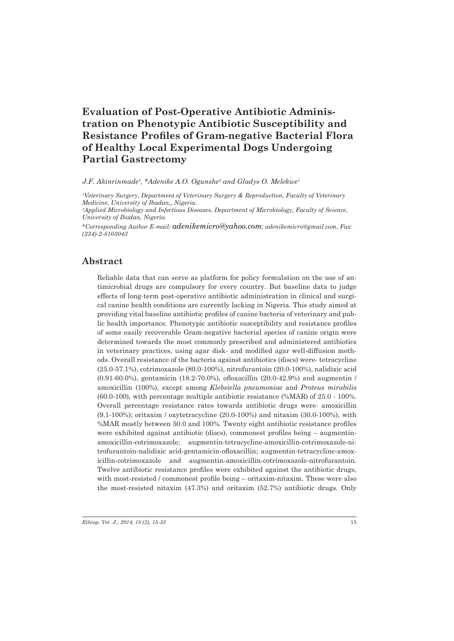# **Evaluation of Post-Operative Antibiotic Administration on Phenotypic Antibiotic Susceptibility and Resistance Profiles of Gram-negative Bacterial Flora of Healthy Local Experimental Dogs Undergoing Partial Gastrectomy**

*J.F. Akinrinmade1 , \*Adenike A.O. Ogunshe2 and Gladys O. Melekwe1*

*1 Veterinary Surgery, Department of Veterinary Surgery & Reproduction, Faculty of Veterinary Medicine, University of Ibadan,, Nigeria.*

*2 Applied Microbiology and Infectious Diseases, Department of Microbiology, Faculty of Science, University of Ibadan, Nigeria.* 

*\*Corresponding Author E-mail: adenikemicro@yahoo.com; adenikemicro@gmail.com, Fax: (234)-2-8103043*

### **Abstract**

Reliable data that can serve as platform for policy formulation on the use of antimicrobial drugs are compulsory for every country. But baseline data to judge effects of long-term post-operative antibiotic administration in clinical and surgical canine health conditions are currently lacking in Nigeria. This study aimed at providing vital baseline antibiotic profiles of canine bacteria of veterinary and public health importance. Phenotypic antibiotic susceptibility and resistance profiles of some easily recoverable Gram-negative bacterial species of canine origin were determined towards the most commonly prescribed and administered antibiotics in veterinary practices, using agar disk- and modified agar well-diffusion methods. Overall resistance of the bacteria against antibiotics (discs) were- tetracycline (25.0-57.1%), cotrimoxazole (80.0-100%), nitrofurantoin (20.0-100%), nalidixic acid (0.91-60.0%), gentamicin (18.2-70.0%), ofloxacillin (20.0-42.9%) and augmentin / amoxicillin (100%), except among *Klebsiella pneumoniae* and *Proteus mirabilis* (60.0-100), with percentage multiple antibiotic resistance (%MAR) of 25.0 - 100%. Overall percentage resistance rates towards antibiotic drugs were- amoxicillin (9.1-100%); oritaxim / oxytetracycline (20.0-100%) and nitaxim (30.0-100%), with %MAR mostly between 50.0 and 100%. Twenty eight antibiotic resistance profiles were exhibited against antibiotic (discs), commonest profiles being – augmentinamoxicillin-cotrimoxazole; augmentin-tetracycline-amoxicillin-cotrimoxazole-nitrofurantoin-nalidixic acid-gentamicin-ofloxacillin; augmentin-tetracycline-amoxicillin-cotrimoxazole and augmentin-amoxicillin-cotrimoxazole-nitrofurantoin. Twelve antibiotic resistance profiles were exhibited against the antibiotic drugs, with most-resisted / commonest profile being – oritaxim-nitaxim. These were also the most-resisted nitaxim (47.3%) and oritaxim (52.7%) antibiotic drugs. Only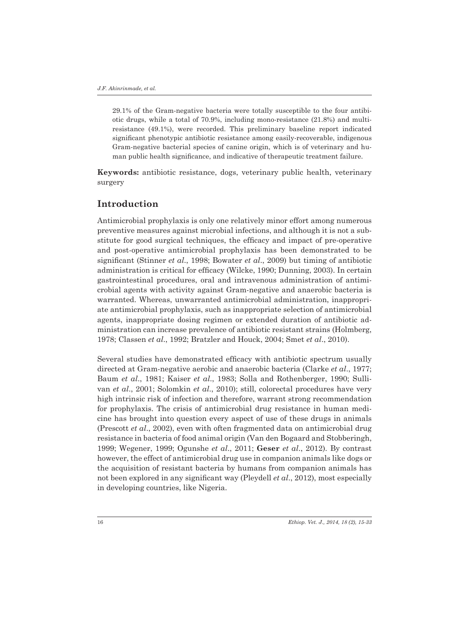29.1% of the Gram-negative bacteria were totally susceptible to the four antibiotic drugs, while a total of 70.9%, including mono-resistance (21.8%) and multiresistance (49.1%), were recorded. This preliminary baseline report indicated significant phenotypic antibiotic resistance among easily-recoverable, indigenous Gram-negative bacterial species of canine origin, which is of veterinary and human public health significance, and indicative of therapeutic treatment failure.

**Keywords:** antibiotic resistance, dogs, veterinary public health, veterinary surgery

### **Introduction**

Antimicrobial prophylaxis is only one relatively minor effort among numerous preventive measures against microbial infections, and although it is not a substitute for good surgical techniques, the efficacy and impact of pre-operative and post-operative antimicrobial prophylaxis has been demonstrated to be significant (Stinner *et al*., 1998; Bowater *et al*., 2009) but timing of antibiotic administration is critical for efficacy (Wilcke, 1990; Dunning, 2003). In certain gastrointestinal procedures, oral and intravenous administration of antimicrobial agents with activity against Gram-negative and anaerobic bacteria is warranted. Whereas, unwarranted antimicrobial administration, inappropriate antimicrobial prophylaxis, such as inappropriate selection of antimicrobial agents, inappropriate dosing regimen or extended duration of antibiotic administration can increase prevalence of antibiotic resistant strains (Holmberg, 1978; Classen *et al*., 1992; Bratzler and Houck, 2004; Smet *et al*., 2010).

Several studies have demonstrated efficacy with antibiotic spectrum usually directed at Gram-negative aerobic and anaerobic bacteria (Clarke *et al*., 1977; Baum *et al*., 1981; Kaiser *et al*., 1983; Solla and Rothenberger, 1990; Sullivan *et al*., 2001; Solomkin *et al*., 2010); still, colorectal procedures have very high intrinsic risk of infection and therefore, warrant strong recommendation for prophylaxis. The crisis of antimicrobial drug resistance in human medicine has brought into question every aspect of use of these drugs in animals (Prescott *et al*., 2002), even with often fragmented data on antimicrobial drug resistance in bacteria of food animal origin (Van den Bogaard and Stobberingh, 1999; Wegener, 1999; Ogunshe *et al*., 2011; **Geser** *et al*., 2012). By contrast however, the effect of antimicrobial drug use in companion animals like dogs or the acquisition of resistant bacteria by humans from companion animals has not been explored in any significant way (Pleydell *et al*., 2012), most especially in developing countries, like Nigeria.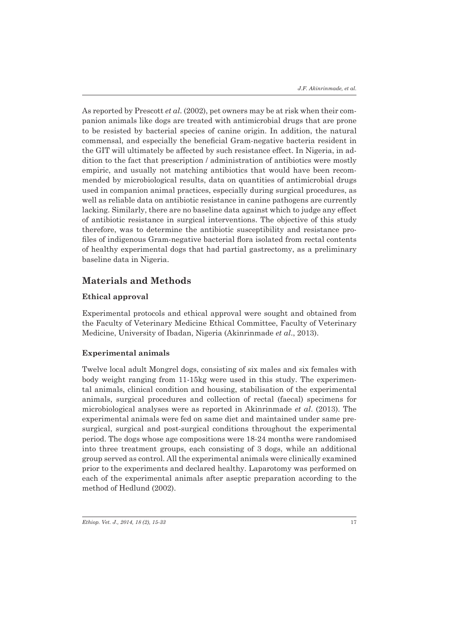As reported by Prescott *et al*. (2002), pet owners may be at risk when their companion animals like dogs are treated with antimicrobial drugs that are prone to be resisted by bacterial species of canine origin. In addition, the natural commensal, and especially the beneficial Gram-negative bacteria resident in the GIT will ultimately be affected by such resistance effect. In Nigeria, in addition to the fact that prescription / administration of antibiotics were mostly empiric, and usually not matching antibiotics that would have been recommended by microbiological results, data on quantities of antimicrobial drugs used in companion animal practices, especially during surgical procedures, as well as reliable data on antibiotic resistance in canine pathogens are currently lacking. Similarly, there are no baseline data against which to judge any effect of antibiotic resistance in surgical interventions. The objective of this study therefore, was to determine the antibiotic susceptibility and resistance profiles of indigenous Gram-negative bacterial flora isolated from rectal contents of healthy experimental dogs that had partial gastrectomy, as a preliminary baseline data in Nigeria.

## **Materials and Methods**

### **Ethical approval**

Experimental protocols and ethical approval were sought and obtained from the Faculty of Veterinary Medicine Ethical Committee, Faculty of Veterinary Medicine, University of Ibadan, Nigeria (Akinrinmade *et al*., 2013).

### **Experimental animals**

Twelve local adult Mongrel dogs, consisting of six males and six females with body weight ranging from 11-15kg were used in this study. The experimental animals, clinical condition and housing, stabilisation of the experimental animals, surgical procedures and collection of rectal (faecal) specimens for microbiological analyses were as reported in Akinrinmade *et al*. (2013). The experimental animals were fed on same diet and maintained under same presurgical, surgical and post-surgical conditions throughout the experimental period. The dogs whose age compositions were 18-24 months were randomised into three treatment groups, each consisting of 3 dogs, while an additional group served as control. All the experimental animals were clinically examined prior to the experiments and declared healthy. Laparotomy was performed on each of the experimental animals after aseptic preparation according to the method of Hedlund (2002).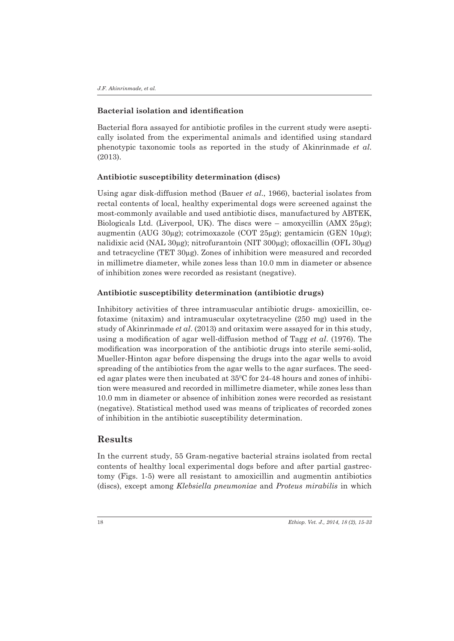#### **Bacterial isolation and identification**

Bacterial flora assayed for antibiotic profiles in the current study were aseptically isolated from the experimental animals and identified using standard phenotypic taxonomic tools as reported in the study of Akinrinmade *et al*. (2013).

#### **Antibiotic susceptibility determination (discs)**

Using agar disk-diffusion method (Bauer *et al*., 1966), bacterial isolates from rectal contents of local, healthy experimental dogs were screened against the most-commonly available and used antibiotic discs, manufactured by ABTEK, Biologicals Ltd. (Liverpool, UK). The discs were – amoxycillin (AMX  $25\mu$ g); augmentin (AUG 30µg); cotrimoxazole (COT 25µg); gentamicin (GEN 10µg); nalidixic acid (NAL 30µg); nitrofurantoin (NIT 300µg); ofloxacillin (OFL 30µg) and tetracycline (TET 30µg). Zones of inhibition were measured and recorded in millimetre diameter, while zones less than 10.0 mm in diameter or absence of inhibition zones were recorded as resistant (negative).

#### **Antibiotic susceptibility determination (antibiotic drugs)**

Inhibitory activities of three intramuscular antibiotic drugs- amoxicillin, cefotaxime (nitaxim) and intramuscular oxytetracycline (250 mg) used in the study of Akinrinmade *et al*. (2013) and oritaxim were assayed for in this study, using a modification of agar well-diffusion method of Tagg *et al*. (1976). The modification was incorporation of the antibiotic drugs into sterile semi-solid, Mueller-Hinton agar before dispensing the drugs into the agar wells to avoid spreading of the antibiotics from the agar wells to the agar surfaces. The seeded agar plates were then incubated at  $35^{\circ}$ C for 24-48 hours and zones of inhibition were measured and recorded in millimetre diameter, while zones less than 10.0 mm in diameter or absence of inhibition zones were recorded as resistant (negative). Statistical method used was means of triplicates of recorded zones of inhibition in the antibiotic susceptibility determination.

# **Results**

In the current study, 55 Gram-negative bacterial strains isolated from rectal contents of healthy local experimental dogs before and after partial gastrectomy (Figs. 1-5) were all resistant to amoxicillin and augmentin antibiotics (discs), except among *Klebsiella pneumoniae* and *Proteus mirabilis* in which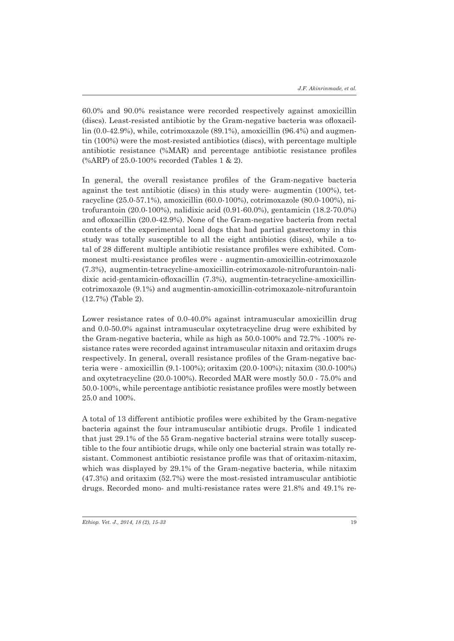60.0% and 90.0% resistance were recorded respectively against amoxicillin (discs). Least-resisted antibiotic by the Gram-negative bacteria was ofloxacillin  $(0.0-42.9%)$ , while, cotrimoxazole  $(89.1%)$ , amoxicillin  $(96.4%)$  and augmentin (100%) were the most-resisted antibiotics (discs), with percentage multiple antibiotic resistance (%MAR) and percentage antibiotic resistance profiles (%ARP) of 25.0-100% recorded (Tables 1 & 2).

In general, the overall resistance profiles of the Gram-negative bacteria against the test antibiotic (discs) in this study were- augmentin (100%), tetracycline (25.0-57.1%), amoxicillin (60.0-100%), cotrimoxazole (80.0-100%), nitrofurantoin (20.0-100%), nalidixic acid (0.91-60.0%), gentamicin (18.2-70.0%) and ofloxacillin (20.0-42.9%). None of the Gram-negative bacteria from rectal contents of the experimental local dogs that had partial gastrectomy in this study was totally susceptible to all the eight antibiotics (discs), while a total of 28 different multiple antibiotic resistance profiles were exhibited. Commonest multi-resistance profiles were - augmentin-amoxicillin-cotrimoxazole (7.3%), augmentin-tetracycline-amoxicillin-cotrimoxazole-nitrofurantoin-nalidixic acid-gentamicin-ofloxacillin (7.3%), augmentin-tetracycline-amoxicillincotrimoxazole (9.1%) and augmentin-amoxicillin-cotrimoxazole-nitrofurantoin (12.7%) (Table 2).

Lower resistance rates of 0.0-40.0% against intramuscular amoxicillin drug and 0.0-50.0% against intramuscular oxytetracycline drug were exhibited by the Gram-negative bacteria, while as high as 50.0-100% and 72.7% -100% resistance rates were recorded against intramuscular nitaxin and oritaxim drugs respectively. In general, overall resistance profiles of the Gram-negative bacteria were - amoxicillin (9.1-100%); oritaxim (20.0-100%); nitaxim (30.0-100%) and oxytetracycline (20.0-100%). Recorded MAR were mostly 50.0 - 75.0% and 50.0-100%, while percentage antibiotic resistance profiles were mostly between 25.0 and 100%.

A total of 13 different antibiotic profiles were exhibited by the Gram-negative bacteria against the four intramuscular antibiotic drugs. Profile 1 indicated that just 29.1% of the 55 Gram-negative bacterial strains were totally susceptible to the four antibiotic drugs, while only one bacterial strain was totally resistant. Commonest antibiotic resistance profile was that of oritaxim-nitaxim, which was displayed by 29.1% of the Gram-negative bacteria, while nitaxim (47.3%) and oritaxim (52.7%) were the most-resisted intramuscular antibiotic drugs. Recorded mono- and multi-resistance rates were 21.8% and 49.1% re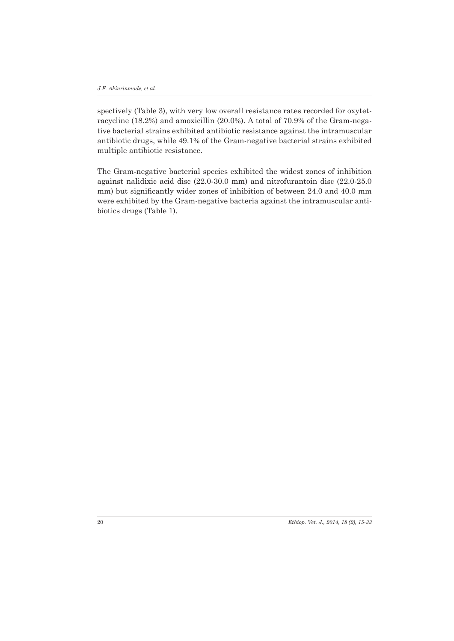spectively (Table 3), with very low overall resistance rates recorded for oxytetracycline (18.2%) and amoxicillin (20.0%). A total of 70.9% of the Gram-negative bacterial strains exhibited antibiotic resistance against the intramuscular antibiotic drugs, while 49.1% of the Gram-negative bacterial strains exhibited multiple antibiotic resistance.

The Gram-negative bacterial species exhibited the widest zones of inhibition against nalidixic acid disc (22.0-30.0 mm) and nitrofurantoin disc (22.0-25.0 mm) but significantly wider zones of inhibition of between 24.0 and 40.0 mm were exhibited by the Gram-negative bacteria against the intramuscular antibiotics drugs (Table 1).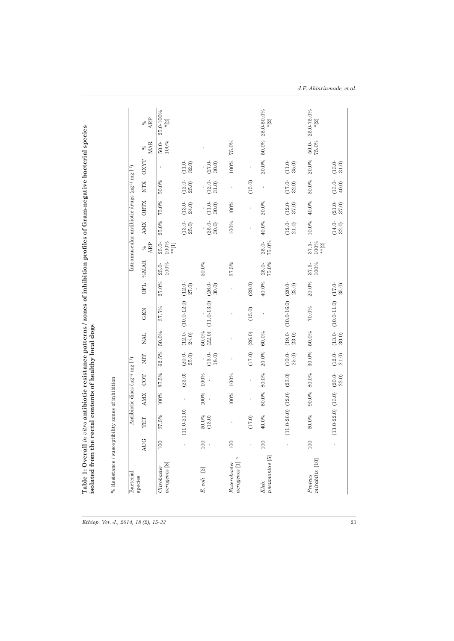| Bacterial<br>species                        |           |                          |            | Antibiotic discs $(\mu g^{-1} / \text{ mg } l^{-1})$ |                    |                    |                 |                    |                   |                                       |                   | Intramuscular antibiotic drugs $(\mu g^{-1}$ / mg $l^{-1}$ ) |                   |                    |                  |                          |
|---------------------------------------------|-----------|--------------------------|------------|------------------------------------------------------|--------------------|--------------------|-----------------|--------------------|-------------------|---------------------------------------|-------------------|--------------------------------------------------------------|-------------------|--------------------|------------------|--------------------------|
|                                             | AUG       | TET                      | <b>AMX</b> | COT                                                  | χ                  | <b>NAL</b>         | <b>GEN</b>      | <b>OFL</b>         | %MAR              | ARP<br>$\%$                           | <b>AMX</b>        | <b>ORTX</b>                                                  | <b>NTX</b>        | <b>OXYT</b>        | <b>MAR</b><br>℅  | ARP<br>$\%$              |
| aerogenes <sup>[8]</sup><br>Citrobacter     | 100       | 37.5%                    | 100%       | 87.5%                                                | 62.5%              | 50.0%              | 37.5%           | 25.0%              | $25.0 -$<br>100%  | $25.0 -$<br>100%<br>$*$ [1]           | $25.0\%$          | $75.0\%$                                                     | 50.0%             |                    | $50.0 -$<br>100% | 25.0-100%<br>$*$ [2]     |
|                                             |           | $(11.0 - 21.0)$          |            | (23.0)                                               | $(20.0 -$<br>25.0  | $(12.0 -$<br>24.0) | $(10.0 - 12.0)$ | $(12.0 - 27.0)$    |                   |                                       | $(13.0 -$<br>25.0 | $(13.0 -$<br>24.0)                                           | $(12.0 -$<br>25.0 | $(11.0 -$<br>32.0  |                  |                          |
| $\boxed{2}$<br>$E.\,coli$                   | 100<br>J. | 50.0%<br>(13.0)          | 100%       | 100%                                                 | $(15.0 -$<br>18.0) | (22.0)<br>50.0%    | $(11.0 - 13.0)$ | $(26.0 -$<br>30.0) | 50.0%             |                                       | $(25.0 -$<br>30.0 | $11.0 -$<br>30.0                                             | $(12.0 -$<br>31.0 | $(27.0 -$<br>30.0  |                  |                          |
| $aerogenes$ [1] $^{\wedge}$<br>Enterobacter | 100       |                          | 100%       | 100%                                                 |                    |                    |                 |                    | 37.5%             |                                       | 100%              | 100%                                                         | ï                 | 100%               | 75.0%            |                          |
|                                             |           | (17.0)                   |            |                                                      | (17.0)             | (26.0)             | (15.0)          | (28.0)             |                   |                                       |                   |                                                              | (15.0)            |                    |                  |                          |
| pneumoniae <sup>[5]</sup><br>Kleb.          | 100       | 40.0%                    | 60.0%      | 80.0%                                                | 20.0%              | 60.0%              | ï               | 40.0%              | 75.0%<br>$25.0 -$ | $25.0\cdot$<br>75.0%                  | 40.0%             | 20.0%                                                        | ł                 | 20.0%              |                  | 50.0% 25.0-50.0%<br>k[2] |
|                                             |           | $(11.0 - 26.0)$ $(12.0)$ |            | (23.0)                                               | $(10.0 -$<br>25.0  | $(19.0 -$<br>23.0) | $(10.0 - 16.0)$ | $(20.0 -$<br>23.0) |                   |                                       | $(12.0 -$<br>21.0 | $(12.0 -$<br>37.0)                                           | $(17.0 -$<br>32.0 | $(11.0 -$<br>35.0) |                  |                          |
| mirabilis [10]<br>Proteus                   | 100       | 50.0%                    | 90.0%      | 80.0%                                                | 30.0%              | 50.0%              | 70.0%           | 20.0%              | $37.5 -$<br>100%  | $\frac{37.5}{100\%}$<br>$\ast\ast[2]$ | 10.0%             | 40.0%                                                        | 30.0%             | 20.0%              | $50.0-$<br>75.0% | 25.0-75.0%<br>$*2]$      |
|                                             |           | $(13.0 - 22.0)$ $(13.0)$ |            | $(20.0 -$<br>22.0                                    | $(12.0 -$<br>21.0  | $(13.0 -$<br>30.0) | $(10.0 - 11.0)$ | $(17.0 -$<br>35.0) |                   |                                       | $(14.0 -$<br>32.0 | $(21.0 -$<br>37.0)                                           | $(13.0 -$<br>40.0 | $(13.0 -$<br>31.0  |                  |                          |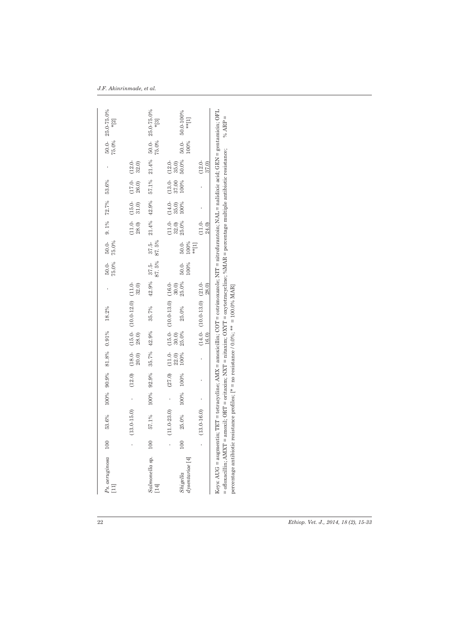| $Ps.$ $aeruginosa$<br>$\Xi$                                                                                                                                                                                                                                                                                                                                                               | 100 | 53.6%                    |      |                | 100% 90.9% 81.8% 0.91%              |       | 18.2%                                                                                                                                  |       | $50.0-$<br>75.0%     | $50.0-$<br>75.0%   | $9.1\%$ $72.7\%$           |                           | 53.6%                    |                          | 75.0% | 50.0-25.0-75.0%<br>$*$ [2]        |
|-------------------------------------------------------------------------------------------------------------------------------------------------------------------------------------------------------------------------------------------------------------------------------------------------------------------------------------------------------------------------------------------|-----|--------------------------|------|----------------|-------------------------------------|-------|----------------------------------------------------------------------------------------------------------------------------------------|-------|----------------------|--------------------|----------------------------|---------------------------|--------------------------|--------------------------|-------|-----------------------------------|
|                                                                                                                                                                                                                                                                                                                                                                                           |     | $(13.0-15.0)$ -          |      | (12.0)         | $(18.0 -$<br>20.0                   | 28.0) | $(15.0 - (10.0 - 12.0))$ $(1.0 -$                                                                                                      | 32.0) |                      |                    | $(11.0 - 28.0)$            | $(15.0 - 31.0)$           | $(17.0 - 26.0)$          | $(12.0 -$<br>32.0        |       |                                   |
| Salmonella sp. 100<br>$[14]$                                                                                                                                                                                                                                                                                                                                                              |     | 57.1%                    |      | 100% 92.9%     | 35.7%                               | 42.9% | 35.7%                                                                                                                                  |       | 87.5%<br>42.9% 37.5- | $37.5-$<br>87.5%   | 21.4% 42.9%                |                           | 57.1%                    | 21.4%                    | 75.0% | $50.0 - 25.0 - 75.0\%$<br>$* [3]$ |
| dysentariae [4]<br>Shigella                                                                                                                                                                                                                                                                                                                                                               | 100 | $(11.0-23.0)$ -<br>25.0% | 100% | (27.0)<br>100% | $(11.0 - 22.0)$<br>$22.0$<br>$100%$ |       | $\begin{array}{lll} (15.0-&(10.0 \cdot 13.0) & (16.0 \cdot 30.0) & & \\ 30.0) & & & 30.0) \\ 25.0\% & & 25.0\% & & 25.0\% \end{array}$ | 25.0% | $50.0-$<br>100%      | $50.0-$<br>100%    | $(11.0 - 32.0)$<br>$32.0%$ | $(14.0 - 35.0)$<br>$100%$ | $(13.0 - 37.00)$<br>100% | 50.0%<br>$(12.0 - 35.0)$ | 100%  | 50.0-50.0-100%<br>$\ast\ast[1]$   |
|                                                                                                                                                                                                                                                                                                                                                                                           |     | $(13.0-16.0)$            |      |                |                                     |       | $\begin{array}{ccc} (14.0 & (10.0 \text{ - } 13.0) & (21.0 \text{ - } \\ 16.0 & 28.0) & \end{array}$                                   |       |                      | $*$ <sup>[1]</sup> | $(11.0 -$<br>24.0          |                           |                          | $(12.0)$<br>$37.0)$      |       |                                   |
| Keys: AUG = augmentin; TET = tetracycline; AMX = amoxicillin; COT = cotrimoxazole; NIT = nitrofurantoin; NAL = nalidixic acid; GEN = gentamicin; OFL<br>= ofloxacillin; AMXT = amoxil; ORT = oritaxim; NXT = nitaxim; OXYT = oxytetracycline; %MAR = percentage multiple antibiotic resistance;<br>percentage antibiotic resistance profiles; [* = no resistance / 0.0%; ** = 100.0% MAR] |     |                          |      |                |                                     |       |                                                                                                                                        |       |                      |                    |                            |                           |                          |                          |       | % $ARP =$                         |
|                                                                                                                                                                                                                                                                                                                                                                                           |     |                          |      |                |                                     |       |                                                                                                                                        |       |                      |                    |                            |                           |                          |                          |       |                                   |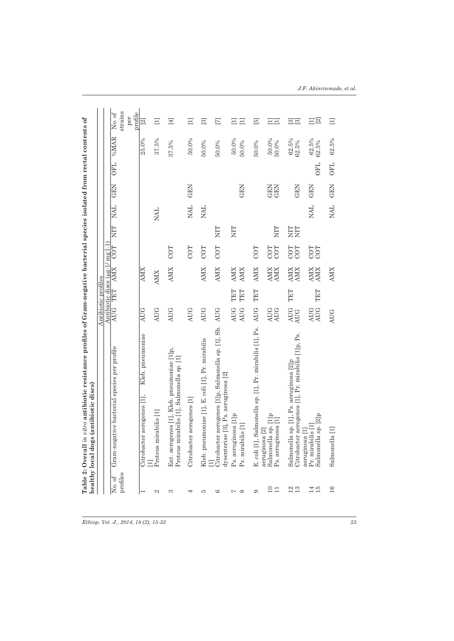|                           | healthy local dogs (antibiotic discs)                                                         | Antibiotic profiles      |            |                                 |            |           |            |                   |            |                         |                                     |
|---------------------------|-----------------------------------------------------------------------------------------------|--------------------------|------------|---------------------------------|------------|-----------|------------|-------------------|------------|-------------------------|-------------------------------------|
|                           |                                                                                               |                          |            | Antibiotic discs (µg-1/ mg 1-1) |            |           |            |                   |            |                         |                                     |
| profiles<br>No. of        | Gram-negative bacterial species per profile                                                   | <b>AUG</b>               | TET        | AMX                             | COT        | EIN       | <b>NAL</b> | <b>GEN</b>        | <b>OFL</b> | %MAR                    | strains<br>profile<br>No. of<br>per |
|                           | Kleb. pneumoniae<br>Citrobacter aerogenes [1],                                                | <b>AUG</b>               |            | <b>AMX</b>                      |            |           |            |                   |            | 25.0%                   | $\overline{\mathbb{E}}$             |
| $\sim$                    | Proteus mirabilis [1]                                                                         | <b>AUG</b>               |            | <b>AMIX</b>                     |            |           | <b>NAL</b> |                   |            | 37.5%                   | Ξ                                   |
| m                         | Ent. aerogenes [1], Kleb. pneumoniae [1]p,<br>Proteus mirabilis [1], Salmonella sp. [1]       | <b>AUG</b>               |            | <b>AMX</b>                      | COT        |           |            |                   |            | 37.5%                   | $[\pm]$                             |
|                           | Citrobacter aerogenes [1]                                                                     | <b>AUG</b>               |            |                                 | COT        |           | <b>TVN</b> | GEN               |            | 50.0%                   | Ξ                                   |
| ю                         | Kleb. pneumoniae [1], E. coli [1], Pr. mirabilis                                              | <b>AUG</b>               |            | <b>AMX</b>                      | COT        |           | <b>TAN</b> |                   |            | 50.0%                   | $\boxed{3}$                         |
| cc                        | Citrobacter aerogenes [1]p, Salmonella sp. [1], Sh.<br>dysenteriae [3], Ps. aeruginosa [2]    | <b>AUG</b>               |            | <b>AMX</b>                      | COT        | EIN       |            |                   |            | 50.0%                   | $\Xi$                               |
| $\infty$<br>r-            | Ps. aeruginosa [1]p<br>Pr. mirabilis [1]                                                      | <b>AUG</b><br><b>AUG</b> | TET<br>TET | <b>AMX</b><br><b>AMX</b>        |            | <b>EL</b> |            | <b>GEN</b>        |            | 50.0%<br>50.0%          | $\Xi$<br>Ξ                          |
| $\sigma$                  | E. coli [1], Salmonella sp. [1], Pr. mirabilis [1], Ps.                                       | <b>AUG</b>               | TET        | <b>AMX</b>                      | COT        |           |            |                   |            | 50.0%                   | $\overline{5}$                      |
| $\overline{10}$<br>$\Box$ | Salmonella sp. [1]p<br>Ps. aeruginosa [1]<br>Salmonella sp.<br>aeruginosa [2]                 | AUG<br>AUG               |            | <b>AMX</b><br><b>AMX</b>        | COT<br>COT | NIT       |            | <b>GEN</b><br>GEN |            | $\frac{50.0\%}{50.0\%}$ | 三三                                  |
| $\frac{2}{13}$            | Citrobacter aerogenes [1], Pr. mirabilis [1]p, Ps.<br>Salmonella sp. [1], Ps. aeruginosa [2]p | $_{\rm AUG}^{\rm AUG}$   | TET        | <b>AMX</b><br><b>AMX</b>        | COT<br>COT | EE        |            | <b>GEN</b>        |            | 62.5%<br>62.5%          | 33                                  |
| 14.5                      | Salmonella sp. [2]p<br>Pr. mirabilis [1]<br>aeruginosa [1]                                    | AUG<br>AUG               | TET        | AMX<br>AMX                      | COT<br>COT |           | <b>TVN</b> | <b>GEN</b>        | <b>OFL</b> | 62.5%<br>62.5%          | $\Xi\overline{\mathfrak{A}}$        |
| 16                        | Salmonella <sup>[1]</sup>                                                                     | <b>AUG</b>               |            | <b>AMX</b>                      |            |           | <b>TVN</b> | <b>GEN</b>        | <b>OFL</b> | 62.5%                   | Ξ                                   |

*Ethiop. Vet. J., 2014, 18 (2), 15-33* 23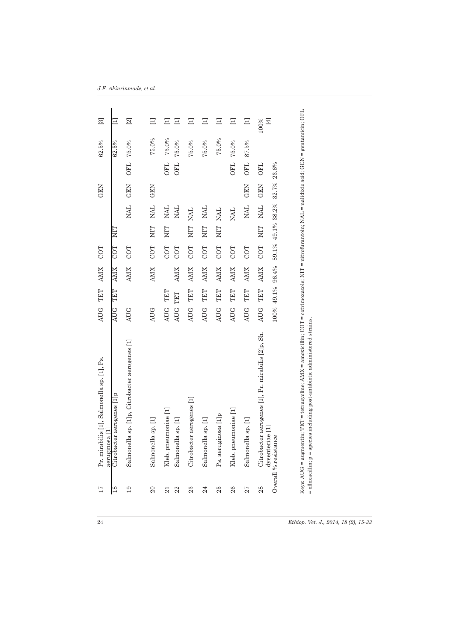| 17              | Pr. mirabilis [1], Salmonella sp. [1], Ps.<br>aeruginosa                                      | AUG TET                  |            | <b>AMX</b>                     | COT        |                         |                                 | GEN                |                          | 62.5%          | $\Xi$         |
|-----------------|-----------------------------------------------------------------------------------------------|--------------------------|------------|--------------------------------|------------|-------------------------|---------------------------------|--------------------|--------------------------|----------------|---------------|
| 18              | Citrobacter aerogenes [1]p                                                                    | <b>AUG</b>               | TET        | <b>AMX</b>                     | COT        | EIN                     |                                 |                    |                          | 62.5%          | Ξ             |
| 19              | Salmonella sp. [1]p, Citrobacter aerogenes [1]                                                | <b>AUG</b>               |            | <b>AMX</b>                     | COT        |                         | <b>NAL</b>                      | GEN                | <b>OFL</b>               | 75.0%          | $\boxed{2}$   |
| $\overline{20}$ | Salmonella sp. [1]                                                                            | <b>AUG</b>               |            | <b>AMX</b>                     | COT        | <b>TIN</b>              | <b>NAL</b>                      | <b>GEN</b>         |                          | 75.0%          | Ξ             |
| 22<br>21        | Kleb. pneumoniae [1]<br>Salmonella sp. [1]                                                    | <b>AUG</b><br><b>AUG</b> | TET<br>TET | <b>AMX</b>                     | COT<br>COT | <b>EIN</b>              | NAL.<br><b>NAL</b>              |                    | <b>OFL</b><br><b>OFL</b> | 75.0%<br>75.0% | $\Xi$<br>Ξ    |
| 23              | Citrobacter aerogenes [1]                                                                     | <b>AUG</b>               | TET        | <b>AMX</b>                     | COT        | NIT                     | <b>NAL</b>                      |                    |                          | 75.0%          | Ξ             |
| 24              | Salmonella sp. [1]                                                                            | <b>AUG</b>               | TET        | <b>AMX</b>                     | COT        | <b>NIL</b>              | <b>NAL</b>                      |                    |                          | 75.0%          | Ξ             |
| 25              | Ps. aeruginosa [1]p                                                                           | <b>AUG</b>               | TET        | <b>AMX</b>                     | COT        | NIT                     | <b>NAL</b>                      |                    |                          | 75.0%          | Ξ             |
| 26              | Kleb. pneumoniae [1]                                                                          | <b>AUG</b>               | TET        | <b>AMX</b>                     | COT        |                         | <b>NAL</b>                      |                    | <b>OFL</b>               | 75.0%          | $\Xi$         |
| 27              | Salmonella sp. [1]                                                                            | <b>AUG</b>               | TET        | <b>AMX</b>                     | COT        |                         | <b>TAN</b>                      | <b>GEN</b>         | <b>OFL</b>               | 87.5%          | $\Xi$         |
| 28              | Citrobacter aerogenes [1], Pr. mirabilis [2]p, Sh.<br>dysenteriae [1]<br>Overall % resistance | <b>AUG</b>               | TET        | 100% 49.1% 96.4%<br><b>AMX</b> | COT        | $\overline{\text{NIT}}$ | 89.1% 49.1% 38.2%<br><b>NAL</b> | 32.7% 23.6%<br>GEN | <b>OFL</b>               |                | 100%<br>$[4]$ |
|                 | $=$ ofloxacillin; $p =$ species including post-antibiotic administered strains.               |                          |            |                                |            |                         |                                 |                    |                          |                |               |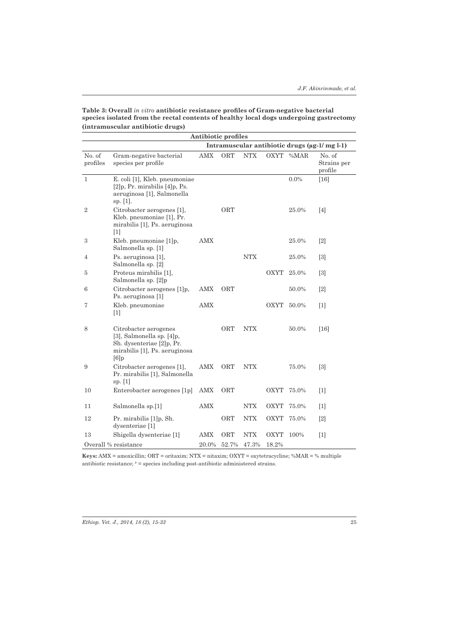| Table 3: Overall <i>in vitro</i> antibiotic resistance profiles of Gram-negative bacterial |
|--------------------------------------------------------------------------------------------|
| species isolated from the rectal contents of healthy local dogs undergoing gastrectomy     |
| (intramuscular antibiotic drugs)                                                           |

|                    |                                                                                                                             | Antibiotic profiles |       |                      |             |                  |                                               |
|--------------------|-----------------------------------------------------------------------------------------------------------------------------|---------------------|-------|----------------------|-------------|------------------|-----------------------------------------------|
|                    |                                                                                                                             |                     |       |                      |             |                  | Intramuscular antibiotic drugs (ug-1/ mg l-1) |
| No. of<br>profiles | Gram-negative bacterial<br>species per profile                                                                              | <b>AMX</b>          | ORT   | <b>NTX</b>           | OXYT        | % <sub>MAR</sub> | No. of<br>Strains per<br>profile              |
| $\mathbf{1}$       | E. coli [1], Kleb. pneumoniae<br>$[2]$ p, Pr. mirabilis $[4]$ p, Ps.<br>aeruginosa [1], Salmonella<br>sp. $[1]$ .           |                     |       |                      |             | $0.0\%$          | $[16]$                                        |
| $\,2$              | Citrobacter aerogenes [1],<br>Kleb. pneumoniae [1], Pr.<br>mirabilis [1], Ps. aeruginosa<br>$[1]$                           |                     | ORT   |                      |             | 25.0%            | [4]                                           |
| 3                  | Kleb. pneumoniae [1]p,<br>Salmonella sp. [1]                                                                                | <b>AMX</b>          |       |                      |             | 25.0%            | $[2]$                                         |
| 4                  | Ps. aeruginosa [1],<br>Salmonella sp. [2]                                                                                   |                     |       | <b>NTX</b>           |             | 25.0%            | $\lceil 3 \rceil$                             |
| 5                  | Proteus mirabilis [1],<br>Salmonella sp. [2]p                                                                               |                     |       |                      | OXYT        | 25.0%            | $\lceil 3 \rceil$                             |
| 6                  | Citrobacter aerogenes [1]p,<br>Ps. aeruginosa [1]                                                                           | <b>AMX</b>          | ORT   |                      |             | 50.0%            | $\lceil 2 \rceil$                             |
| 7                  | Kleb. pneumoniae<br>$[1]$                                                                                                   | <b>AMX</b>          |       |                      | OXYT        | 50.0%            | $[1]$                                         |
| 8                  | Citrobacter aerogenes<br>[3], Salmonella sp. $[4]p$ ,<br>Sh. dysenteriae [2]p, Pr.<br>mirabilis [1], Ps. aeruginosa<br>[6]p |                     | ORT   | <b>NTX</b>           |             | 50.0%            | $[16]$                                        |
| 9                  | Citrobacter aerogenes [1],<br>Pr. mirabilis [1], Salmonella<br>sp. $[1]$                                                    | <b>AMX</b>          | ORT   | <b>NTX</b>           |             | 75.0%            | [3]                                           |
| 10                 | Enterobacter aerogenes [1p]                                                                                                 | <b>AMX</b>          | ORT   |                      | OXYT        | 75.0%            | $[1]$                                         |
| 11                 | Salmonella sp.[1]                                                                                                           | <b>AMX</b>          |       | <b>NTX</b>           | <b>OXYT</b> | 75.0%            | $\lceil 1 \rceil$                             |
| 12                 | Pr. mirabilis [1]p, Sh.<br>dysenteriae [1]                                                                                  |                     | ORT   | $\operatorname{NTX}$ | <b>OXYT</b> | 75.0%            | $\lceil 2 \rceil$                             |
| 13                 | Shigella dysenteriae [1]                                                                                                    | AMX                 | ORT   | <b>NTX</b>           | <b>OXYT</b> | 100%             | $[1]$                                         |
|                    | Overall % resistance                                                                                                        | 20.0%               | 52.7% | 47.3%                | 18.2%       |                  |                                               |

**Keys:** AMX = amoxicillin; ORT = oritaxim; NTX = nitaxim; OXYT = oxytetracycline; %MAR = % multiple antibiotic resistance;  $P =$  species including post-antibiotic administered strains.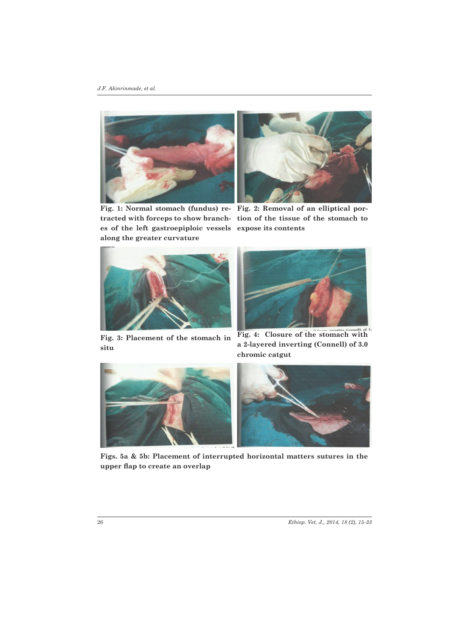

**Fig. 1: Normal stomach (fundus) re-Fig. 2: Removal of an elliptical pores of the left gastroepiploic vessels expose its contents along the greater curvature**



**tracted with forceps to show branch-tion of the tissue of the stomach to** 





**Fig. 3: Placement of the stomach in situ**

**Fig. 4: Closure of the stomach with a 2-layered inverting (Connell) of 3.0 chromic catgut**



**Figs. 5a & 5b: Placement of interrupted horizontal matters sutures in the upper flap to create an overlap**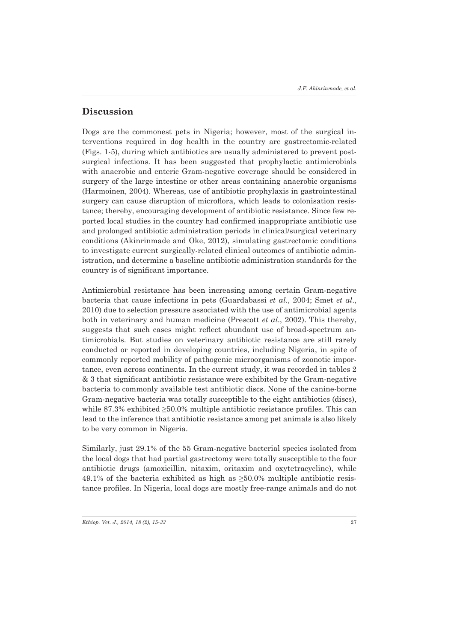# **Discussion**

Dogs are the commonest pets in Nigeria; however, most of the surgical interventions required in dog health in the country are gastrectomic-related (Figs. 1-5), during which antibiotics are usually administered to prevent postsurgical infections. It has been suggested that prophylactic antimicrobials with anaerobic and enteric Gram-negative coverage should be considered in surgery of the large intestine or other areas containing anaerobic organisms (Harmoinen, 2004). Whereas, use of antibiotic prophylaxis in gastrointestinal surgery can cause disruption of microflora, which leads to colonisation resistance; thereby, encouraging development of antibiotic resistance. Since few reported local studies in the country had confirmed inappropriate antibiotic use and prolonged antibiotic administration periods in clinical/surgical veterinary conditions (Akinrinmade and Oke, 2012), simulating gastrectomic conditions to investigate current surgically-related clinical outcomes of antibiotic administration, and determine a baseline antibiotic administration standards for the country is of significant importance.

Antimicrobial resistance has been increasing among certain Gram-negative bacteria that cause infections in pets (Guardabassi *et al*., 2004; Smet *et al*., 2010) due to selection pressure associated with the use of antimicrobial agents both in veterinary and human medicine (Prescott *et al*., 2002). This thereby, suggests that such cases might reflect abundant use of broad-spectrum antimicrobials. But studies on veterinary antibiotic resistance are still rarely conducted or reported in developing countries, including Nigeria, in spite of commonly reported mobility of pathogenic microorganisms of zoonotic importance, even across continents. In the current study, it was recorded in tables 2 & 3 that significant antibiotic resistance were exhibited by the Gram-negative bacteria to commonly available test antibiotic discs. None of the canine-borne Gram-negative bacteria was totally susceptible to the eight antibiotics (discs), while  $87.3\%$  exhibited  $\geq 50.0\%$  multiple antibiotic resistance profiles. This can lead to the inference that antibiotic resistance among pet animals is also likely to be very common in Nigeria.

Similarly, just 29.1% of the 55 Gram-negative bacterial species isolated from the local dogs that had partial gastrectomy were totally susceptible to the four antibiotic drugs (amoxicillin, nitaxim, oritaxim and oxytetracycline), while 49.1% of the bacteria exhibited as high as  $\geq 50.0\%$  multiple antibiotic resistance profiles. In Nigeria, local dogs are mostly free-range animals and do not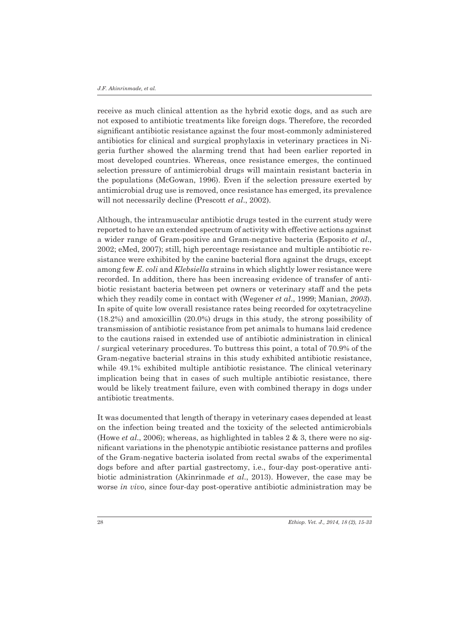receive as much clinical attention as the hybrid exotic dogs, and as such are not exposed to antibiotic treatments like foreign dogs. Therefore, the recorded significant antibiotic resistance against the four most-commonly administered antibiotics for clinical and surgical prophylaxis in veterinary practices in Nigeria further showed the alarming trend that had been earlier reported in most developed countries. Whereas, once resistance emerges, the continued selection pressure of antimicrobial drugs will maintain resistant bacteria in the populations (McGowan, 1996). Even if the selection pressure exerted by antimicrobial drug use is removed, once resistance has emerged, its prevalence will not necessarily decline (Prescott *et al*., 2002).

Although, the intramuscular antibiotic drugs tested in the current study were reported to have an extended spectrum of activity with effective actions against a wider range of Gram-positive and Gram-negative bacteria (Esposito *et al*., 2002; eMed, 2007); still, high percentage resistance and multiple antibiotic resistance were exhibited by the canine bacterial flora against the drugs, except among few *E*. *coli* and *Klebsiella* strains in which slightly lower resistance were recorded. In addition, there has been increasing evidence of transfer of antibiotic resistant bacteria between pet owners or veterinary staff and the pets which they readily come in contact with (Wegener *et al*., 1999; Manian, *2003*). In spite of quite low overall resistance rates being recorded for oxytetracycline (18.2%) and amoxicillin (20.0%) drugs in this study, the strong possibility of transmission of antibiotic resistance from pet animals to humans laid credence to the cautions raised in extended use of antibiotic administration in clinical / surgical veterinary procedures. To buttress this point, a total of 70.9% of the Gram-negative bacterial strains in this study exhibited antibiotic resistance, while 49.1% exhibited multiple antibiotic resistance. The clinical veterinary implication being that in cases of such multiple antibiotic resistance, there would be likely treatment failure, even with combined therapy in dogs under antibiotic treatments.

It was documented that length of therapy in veterinary cases depended at least on the infection being treated and the toxicity of the selected antimicrobials (Howe *et al*., 2006); whereas, as highlighted in tables 2 & 3, there were no significant variations in the phenotypic antibiotic resistance patterns and profiles of the Gram-negative bacteria isolated from rectal swabs of the experimental dogs before and after partial gastrectomy, i.e., four-day post-operative antibiotic administration (Akinrinmade *et al*., 2013). However, the case may be worse *in vivo*, since four-day post-operative antibiotic administration may be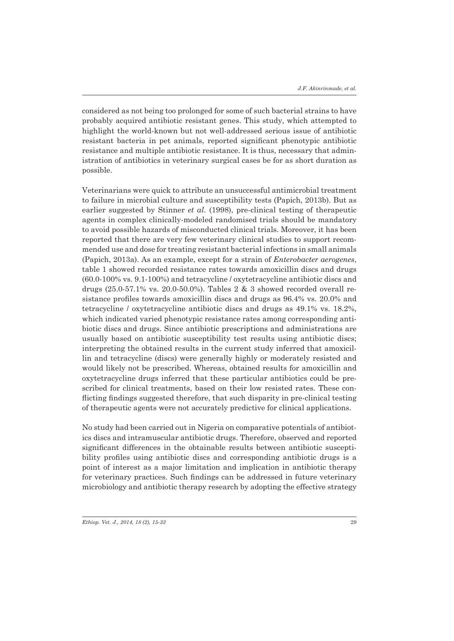considered as not being too prolonged for some of such bacterial strains to have probably acquired antibiotic resistant genes. This study, which attempted to highlight the world-known but not well-addressed serious issue of antibiotic resistant bacteria in pet animals, reported significant phenotypic antibiotic resistance and multiple antibiotic resistance. It is thus, necessary that administration of antibiotics in veterinary surgical cases be for as short duration as possible.

Veterinarians were quick to attribute an unsuccessful antimicrobial treatment to failure in microbial culture and susceptibility tests (Papich, 2013b). But as earlier suggested by Stinner *et al*. (1998), pre-clinical testing of therapeutic agents in complex clinically-modeled randomised trials should be mandatory to avoid possible hazards of misconducted clinical trials. Moreover, it has been reported that there are very few veterinary clinical studies to support recommended use and dose for treating resistant bacterial infections in small animals (Papich, 2013a). As an example, except for a strain of *Enterobacter aerogenes*, table 1 showed recorded resistance rates towards amoxicillin discs and drugs (60.0-100% vs. 9.1-100%) and tetracycline / oxytetracycline antibiotic discs and drugs (25.0-57.1% vs. 20.0-50.0%). Tables 2 & 3 showed recorded overall resistance profiles towards amoxicillin discs and drugs as 96.4% vs. 20.0% and tetracycline / oxytetracycline antibiotic discs and drugs as 49.1% vs. 18.2%, which indicated varied phenotypic resistance rates among corresponding antibiotic discs and drugs. Since antibiotic prescriptions and administrations are usually based on antibiotic susceptibility test results using antibiotic discs; interpreting the obtained results in the current study inferred that amoxicillin and tetracycline (discs) were generally highly or moderately resisted and would likely not be prescribed. Whereas, obtained results for amoxicillin and oxytetracycline drugs inferred that these particular antibiotics could be prescribed for clinical treatments, based on their low resisted rates. These conflicting findings suggested therefore, that such disparity in pre-clinical testing of therapeutic agents were not accurately predictive for clinical applications.

No study had been carried out in Nigeria on comparative potentials of antibiotics discs and intramuscular antibiotic drugs. Therefore, observed and reported significant differences in the obtainable results between antibiotic susceptibility profiles using antibiotic discs and corresponding antibiotic drugs is a point of interest as a major limitation and implication in antibiotic therapy for veterinary practices. Such findings can be addressed in future veterinary microbiology and antibiotic therapy research by adopting the effective strategy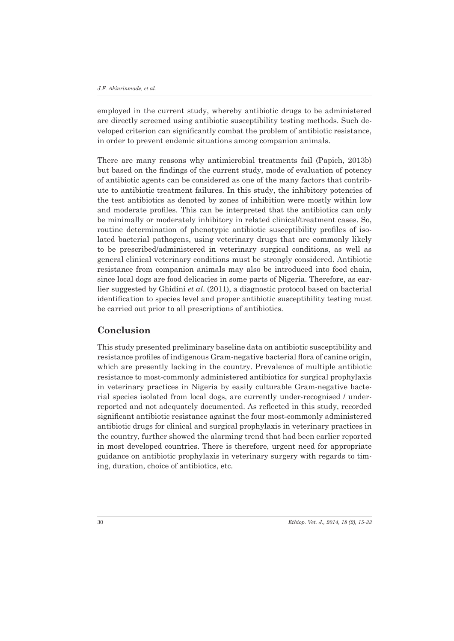employed in the current study, whereby antibiotic drugs to be administered are directly screened using antibiotic susceptibility testing methods. Such developed criterion can significantly combat the problem of antibiotic resistance, in order to prevent endemic situations among companion animals.

There are many reasons why antimicrobial treatments fail (Papich, 2013b) but based on the findings of the current study, mode of evaluation of potency of antibiotic agents can be considered as one of the many factors that contribute to antibiotic treatment failures. In this study, the inhibitory potencies of the test antibiotics as denoted by zones of inhibition were mostly within low and moderate profiles. This can be interpreted that the antibiotics can only be minimally or moderately inhibitory in related clinical/treatment cases. So, routine determination of phenotypic antibiotic susceptibility profiles of isolated bacterial pathogens, using veterinary drugs that are commonly likely to be prescribed/administered in veterinary surgical conditions, as well as general clinical veterinary conditions must be strongly considered. Antibiotic resistance from companion animals may also be introduced into food chain, since local dogs are food delicacies in some parts of Nigeria. Therefore, as earlier suggested by Ghidini *et al*. (2011), a diagnostic protocol based on bacterial identification to species level and proper antibiotic susceptibility testing must be carried out prior to all prescriptions of antibiotics.

# **Conclusion**

This study presented preliminary baseline data on antibiotic susceptibility and resistance profiles of indigenous Gram-negative bacterial flora of canine origin, which are presently lacking in the country. Prevalence of multiple antibiotic resistance to most-commonly administered antibiotics for surgical prophylaxis in veterinary practices in Nigeria by easily culturable Gram-negative bacterial species isolated from local dogs, are currently under-recognised / underreported and not adequately documented. As reflected in this study, recorded significant antibiotic resistance against the four most-commonly administered antibiotic drugs for clinical and surgical prophylaxis in veterinary practices in the country, further showed the alarming trend that had been earlier reported in most developed countries. There is therefore, urgent need for appropriate guidance on antibiotic prophylaxis in veterinary surgery with regards to timing, duration, choice of antibiotics, etc.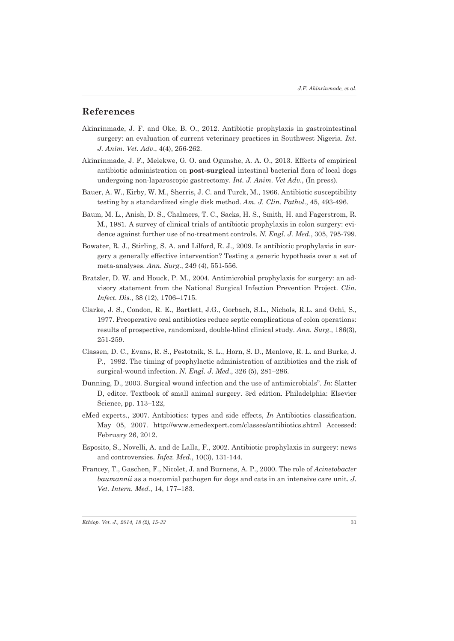### **References**

- Akinrinmade, J. F. and Oke, B. O., 2012. Antibiotic prophylaxis in gastrointestinal surgery: an evaluation of current veterinary practices in Southwest Nigeria. *Int. J. Anim. Vet. Adv*., 4(4), 256-262.
- Akinrinmade, J. F., Melekwe, G. O. and Ogunshe, A. A. O., 2013. Effects of empirical antibiotic administration on **post-surgical** intestinal bacterial flora of local dogs undergoing non-laparoscopic gastrectomy. *Int. J. Anim. Vet Adv*., (In press).
- Bauer, A. W., Kirby, W. M., Sherris, J. C. and Turck, M., 1966. Antibiotic susceptibility testing by a standardized single disk method. *Am. J. Clin. Pathol*., 45, 493-496.
- Baum, M. L., Anish, D. S., Chalmers, T. C., Sacks, H. S., Smith, H. and Fagerstrom, R. M., 1981. A survey of clinical trials of antibiotic prophylaxis in colon surgery: evidence against further use of no-treatment controls. *N. Engl. J. Med*., 305, 795-799.
- Bowater, R. J., Stirling, S. A. and Lilford, R. J., 2009. Is antibiotic prophylaxis in surgery a generally effective intervention? Testing a generic hypothesis over a set of meta-analyses. *Ann. Surg*., 249 (4), 551-556.
- Bratzler, D. W. and Houck, P. M., 2004. Antimicrobial prophylaxis for surgery: an advisory statement from the National Surgical Infection Prevention Project. *Clin. Infect. Dis.*, 38 (12), 1706–1715.
- Clarke, J. S., Condon, R. E., Bartlett, J.G., Gorbach, S.L., Nichols, R.L. and Ochi, S., 1977. Preoperative oral antibiotics reduce septic complications of colon operations: results of prospective, randomized, double-blind clinical study. *Ann. Surg*., 186(3), 251-259.
- Classen, D. C., Evans, R. S., Pestotnik, S. L., Horn, S. D., Menlove, R. L. and Burke, J. P., 1992. The timing of prophylactic administration of antibiotics and the risk of surgical-wound infection. *N. Engl. J. Med*., 326 (5), 281–286.
- Dunning, D., 2003. Surgical wound infection and the use of antimicrobials". *In*: Slatter D, editor. Textbook of small animal surgery. 3rd edition. Philadelphia: Elsevier Science, pp. 113–122,
- eMed experts., 2007. Antibiotics: types and side effects, *In* Antibiotics classification. May 05, 2007. http://www.emedexpert.com/classes/antibiotics.shtml Accessed: February 26, 2012.
- Esposito, S., Novelli, A. and de Lalla, F., 2002. Antibiotic prophylaxis in surgery: news and controversies. *Infez. Med*., 10(3), 131-144.
- Francey, T., Gaschen, F., Nicolet, J. and Burnens, A. P., 2000. The role of *Acinetobacter baumannii* as a noscomial pathogen for dogs and cats in an intensive care unit. *J. Vet. Intern. Med.*, 14, 177–183.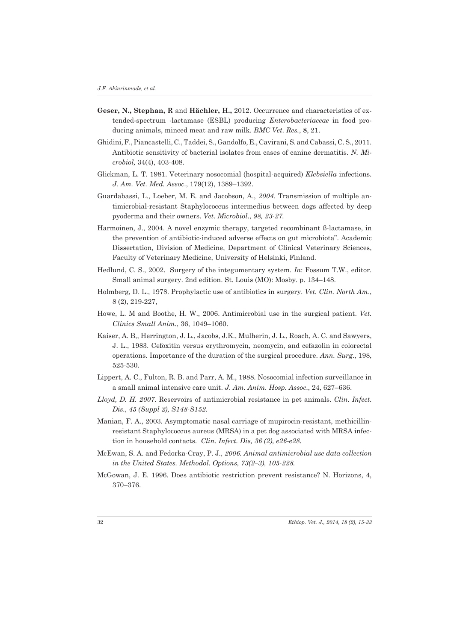- **Geser, N., Stephan, R** and **Hächler, H.,** 2012. Occurrence and characteristics of extended-spectrum -lactamase (ESBL) producing *Enterobacteriaceae* in food producing animals, minced meat and raw milk. *BMC Vet*. *Res.*, **8**, 21.
- Ghidini, F., Piancastelli, C., Taddei, S., Gandolfo, E., Cavirani, S. and Cabassi, C. S., 2011. Antibiotic sensitivity of bacterial isolates from cases of canine dermatitis. *N. Microbiol,* 34(4), 403-408.
- Glickman, L. T. 1981. Veterinary nosocomial (hospital-acquired) *Klebsiella* infections. *J. Am. Vet. Med. Assoc*., 179(12), 1389–1392.
- Guardabassi, L., Loeber, M. E. and Jacobson, A., *2004.* Transmission of multiple antimicrobial-resistant Staphylococcus intermedius between dogs affected by deep pyoderma and their owners. *Vet. Microbiol*., *98, 23-27.*
- Harmoinen, J., 2004. A novel enzymic therapy, targeted recombinant ß-lactamase, in the prevention of antibiotic-induced adverse effects on gut microbiota". Academic Dissertation, Division of Medicine, Department of Clinical Veterinary Sciences, Faculty of Veterinary Medicine, University of Helsinki, Finland.
- Hedlund, C. S., 2002. Surgery of the integumentary system. *In*: Fossum T.W., editor. Small animal surgery. 2nd edition. St. Louis (MO): Mosby. p. 134–148.
- Holmberg, D. L., 1978. Prophylactic use of antibiotics in surgery. *Vet. Clin. North Am*., 8 (2), 219-227,
- Howe, L. M and Boothe, H. W., 2006. Antimicrobial use in the surgical patient. *Vet. Clinics Small Anim.*, 36, 1049–1060.
- Kaiser, A. B,, Herrington, J. L., Jacobs, J.K., Mulherin, J. L., Roach, A. C. and Sawyers, J. L., 1983. Cefoxitin versus erythromycin, neomycin, and cefazolin in colorectal operations. Importance of the duration of the surgical procedure. *Ann. Surg*., 198, 525-530.
- Lippert, A. C., Fulton, R. B. and Parr, A. M., 1988. Nosocomial infection surveillance in a small animal intensive care unit. *J. Am. Anim. Hosp. Assoc*., 24, 627–636.
- *Lloyd, D. H. 2007.* Reservoirs of antimicrobial resistance in pet animals. *Clin*. *Infect*. *Dis., 45 (Suppl 2), S148-S152.*
- Manian, F. A., 2003. Asymptomatic nasal carriage of mupirocin-resistant, methicillinresistant Staphylococcus aureus (MRSA) in a pet dog associated with MRSA infection in household contacts. *Clin. Infect. Dis, 36 (2), e26-e28.*
- McEwan, S. A. and Fedorka-Cray, P. J*., 2006. Animal antimicrobial use data collection in the United States. Methodol*. *Options, 73(2–3), 105-228.*
- McGowan, J. E. 1996. Does antibiotic restriction prevent resistance? N. Horizons, 4, 370–376.